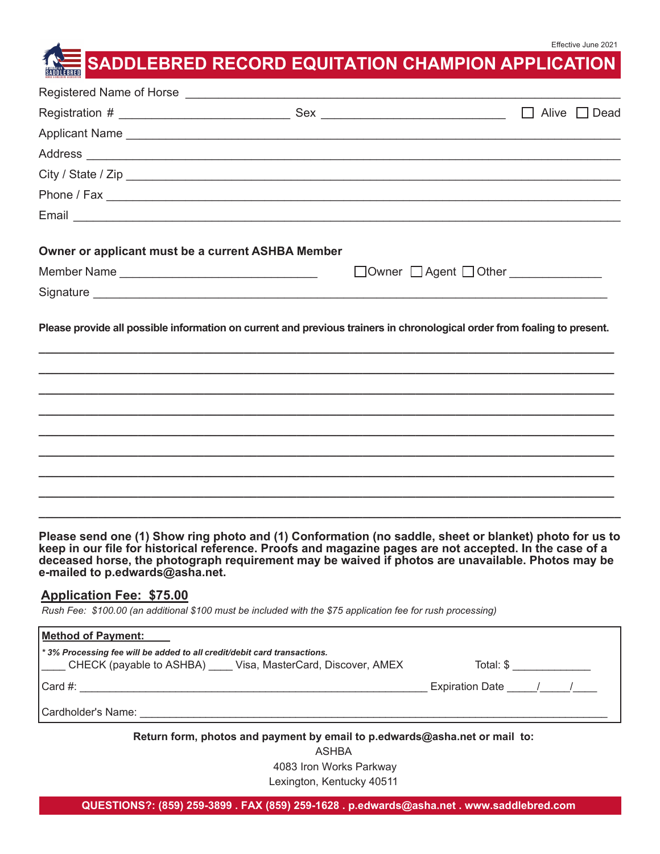# **SADDLEBRED RECORD EQUITATION CHAMPION APPLICATION**

|                                                   |                                                                                                                                                                                           | $\Box$ Alive $\Box$ Dead              |
|---------------------------------------------------|-------------------------------------------------------------------------------------------------------------------------------------------------------------------------------------------|---------------------------------------|
|                                                   |                                                                                                                                                                                           |                                       |
|                                                   |                                                                                                                                                                                           |                                       |
|                                                   | City / State / Zip                                                                                                                                                                        |                                       |
|                                                   |                                                                                                                                                                                           |                                       |
|                                                   |                                                                                                                                                                                           |                                       |
| Owner or applicant must be a current ASHBA Member |                                                                                                                                                                                           |                                       |
|                                                   |                                                                                                                                                                                           | □ Owner □ Agent □ Other _____________ |
|                                                   |                                                                                                                                                                                           |                                       |
|                                                   | Please provide all possible information on current and previous trainers in chronological order from foaling to present.                                                                  |                                       |
|                                                   |                                                                                                                                                                                           |                                       |
|                                                   |                                                                                                                                                                                           |                                       |
|                                                   |                                                                                                                                                                                           |                                       |
|                                                   |                                                                                                                                                                                           |                                       |
|                                                   | $\mathbf{r} = \mathbf{r}$ , and $\mathbf{r} = \mathbf{r}$ , and $\mathbf{r} = \mathbf{r}$ , and $\mathbf{r} = \mathbf{r}$ , and $\mathbf{r} = \mathbf{r}$ , and $\mathbf{r} = \mathbf{r}$ |                                       |

**Please send one (1) Show ring photo and (1) Conformation (no saddle, sheet or blanket) photo for us to keep in our file for historical reference. Proofs and magazine pages are not accepted. In the case of a deceased horse, the photograph requirement may be waived if photos are unavailable. Photos may be e-mailed to p.edwards@asha.net.**

# **Application Fee: \$75.00**

*Rush Fee: \$100.00 (an additional \$100 must be included with the \$75 application fee for rush processing)*

| Method of Payment:                                                                                                                    |                     |  |
|---------------------------------------------------------------------------------------------------------------------------------------|---------------------|--|
| * 3% Processing fee will be added to all credit/debit card transactions.<br>CHECK (payable to ASHBA) Visa, MasterCard, Discover, AMEX | Total: \$           |  |
| ICard #:                                                                                                                              | Expiration Date / / |  |
| l Cardholder's Name: I                                                                                                                |                     |  |
|                                                                                                                                       |                     |  |

**Return form, photos and payment by email to p.edwards@asha.net or mail to:**

ASHBA 4083 Iron Works Parkway Lexington, Kentucky 40511

**QUESTIONS?: (859) 259-3899 . FAX (859) 259-1628 . p.edwards@asha.net . www.saddlebred.com**